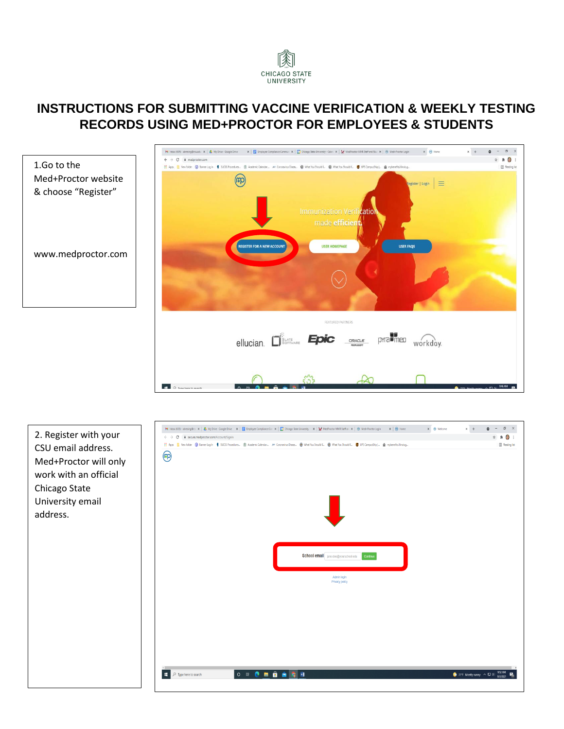

### **INSTRUCTIONS FOR SUBMITTING VACCINE VERIFICATION & WEEKLY TESTING RECORDS USING MED+PROCTOR FOR EMPLOYEES & STUDENTS**



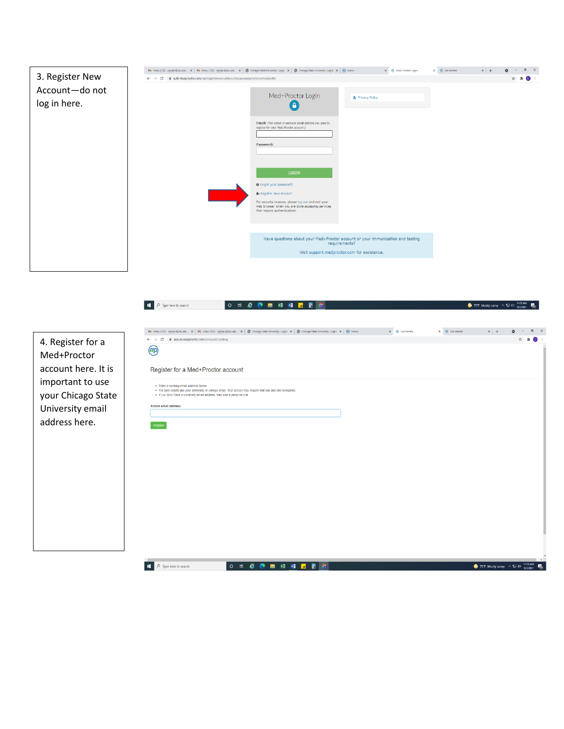| 3. Register New                | M Inbox (120) - cgrijalv@csu.edu - X   M Inbox (120) - cgrijalv@csu.edu - X   @ Chicago State University : Login X   @ Chicago State University : Login X   @ Home<br>← → C  A auth.medproctor.com/cas/login?service=https://secure.medproctor.com/directto |                                                                                                                                        | X @ Med+Proctor Login                                                                                                                           | $\times$ $\Theta$ Get started<br>$x$ + | $\Box$ $\times$<br>☆ ★ ● : |
|--------------------------------|-------------------------------------------------------------------------------------------------------------------------------------------------------------------------------------------------------------------------------------------------------------|----------------------------------------------------------------------------------------------------------------------------------------|-------------------------------------------------------------------------------------------------------------------------------------------------|----------------------------------------|----------------------------|
| Account-do not<br>log in here. |                                                                                                                                                                                                                                                             | Med+Proctor Login                                                                                                                      | <b>&amp;</b> Privacy Policy                                                                                                                     |                                        |                            |
|                                |                                                                                                                                                                                                                                                             | Email: (The school or personal email address you used to<br>register for your Med+Proctor account.)<br>Password:                       |                                                                                                                                                 |                                        |                            |
|                                |                                                                                                                                                                                                                                                             | <b>LOGIN</b><br><b>O</b> Forgot your password?<br>& Register New Account                                                               |                                                                                                                                                 |                                        |                            |
|                                |                                                                                                                                                                                                                                                             | For security reasons, please log out and exit your<br>web browser when you are done accessing services<br>that require authentication! |                                                                                                                                                 |                                        |                            |
|                                |                                                                                                                                                                                                                                                             |                                                                                                                                        | Have questions about your Med+Proctor account or your immunization and testing<br>requirements?<br>Visit support.medproctor.com for assistance. |                                        |                            |

| $\leftarrow$ $\rightarrow$ C<br>4. Register for a<br>$\circledR$<br>Med+Proctor | M Inbox (120) - cgrijalv@csu.edu - X   M Inbox (120) - cgrijalv@csu.edu - X   @ Chicago State University : Login X   @ Chicago State University : Login X   @ Home<br>■ secure.medproctor.com/Account/Landing<br>Register for a Med+Proctor account | $\times$ $\quad$ $\quad$ Get started | $\times$ $\qquad \bigcirc$ Get started | $x$ +                       | $\Box$<br>☆ ★        |
|---------------------------------------------------------------------------------|-----------------------------------------------------------------------------------------------------------------------------------------------------------------------------------------------------------------------------------------------------|--------------------------------------|----------------------------------------|-----------------------------|----------------------|
|                                                                                 |                                                                                                                                                                                                                                                     |                                      |                                        |                             |                      |
|                                                                                 |                                                                                                                                                                                                                                                     |                                      |                                        |                             |                      |
|                                                                                 |                                                                                                                                                                                                                                                     |                                      |                                        |                             |                      |
|                                                                                 |                                                                                                                                                                                                                                                     |                                      |                                        |                             |                      |
| account here. It is                                                             |                                                                                                                                                                                                                                                     |                                      |                                        |                             |                      |
| important to use<br>your Chicago State                                          | · Enter a working email address below.<br>· For best results use your university or college email. Your school may require that you use one to register.<br>. If you don't have a university email address, then use a personal one.                |                                      |                                        |                             |                      |
| University email                                                                | School email address                                                                                                                                                                                                                                |                                      |                                        |                             |                      |
| address here.                                                                   | Register                                                                                                                                                                                                                                            |                                      |                                        |                             |                      |
|                                                                                 |                                                                                                                                                                                                                                                     |                                      |                                        |                             |                      |
|                                                                                 |                                                                                                                                                                                                                                                     |                                      |                                        |                             |                      |
|                                                                                 |                                                                                                                                                                                                                                                     |                                      |                                        |                             |                      |
|                                                                                 |                                                                                                                                                                                                                                                     |                                      |                                        |                             |                      |
|                                                                                 |                                                                                                                                                                                                                                                     |                                      |                                        |                             |                      |
|                                                                                 |                                                                                                                                                                                                                                                     |                                      |                                        |                             |                      |
|                                                                                 |                                                                                                                                                                                                                                                     |                                      |                                        |                             |                      |
|                                                                                 |                                                                                                                                                                                                                                                     |                                      |                                        |                             |                      |
| a.                                                                              | O H & @ H XB M F H C<br>$\mathcal{P}$ Type here to search                                                                                                                                                                                           |                                      |                                        | ● 75°F Mostly sunny へ 短 (4) | 11:10 AM<br>9/2/2021 |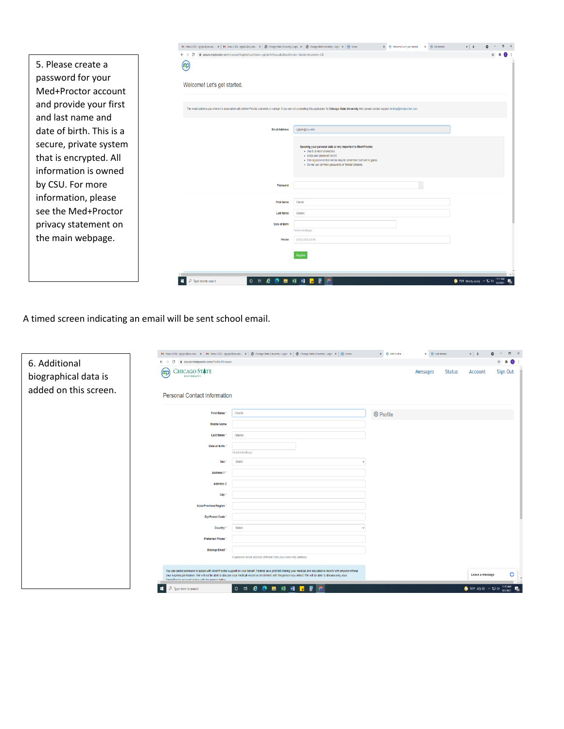|                          | M Inbox (128) - cgrijalv@csu.edu - X   M Inbox (120) - cgrijalv@csu.edu - X   @ Chicago State University : Login X   @ Chicago State University : Login X   @ Home<br>X + Welcomel Let's get started. X + + Gi Get started |                          |
|--------------------------|----------------------------------------------------------------------------------------------------------------------------------------------------------------------------------------------------------------------------|--------------------------|
|                          | ii secure.medproctor.com/Account/Register?userName=cgrijalr%40csu.edu&hasDomain=True&institutionId=338<br>$\leftarrow$ $\rightarrow$ C                                                                                     |                          |
| 5. Please create a       | (cp)                                                                                                                                                                                                                       |                          |
| password for your        | Welcome! Let's get started.                                                                                                                                                                                                |                          |
| Med+Proctor account      |                                                                                                                                                                                                                            |                          |
| and provide your first   | The email address you entered is associated with a Med+Proctor university or college. If you are not completing this application for Chicago State University then please contact support at help@medproctor.com.          |                          |
| and last name and        |                                                                                                                                                                                                                            |                          |
| date of birth. This is a | <b>Email Address</b><br>cgrijalv@csu.edu                                                                                                                                                                                   |                          |
| secure, private system   | Securing your personal data is very important to Med+Proctor.<br>- Use 8 or more characters                                                                                                                                |                          |
| that is encrypted. All   | - Keep your password secret.<br>- Pick a password that will be easy to remember but hard to guess<br>· Do not use common passwords or familiar phrases                                                                     |                          |
| information is owned     |                                                                                                                                                                                                                            |                          |
| by CSU. For more         | Password                                                                                                                                                                                                                   |                          |
| information, please      | <b>First Name</b><br>Charle                                                                                                                                                                                                |                          |
| see the Med+Proctor      | Grialva<br><b>Last Name</b>                                                                                                                                                                                                |                          |
| privacy statement on     | Date of Birth<br>Format mm/dd/www.                                                                                                                                                                                         |                          |
| the main webpage.        | Phone<br>(XXX) XXX-XXXX                                                                                                                                                                                                    |                          |
|                          |                                                                                                                                                                                                                            |                          |
|                          |                                                                                                                                                                                                                            |                          |
|                          | e<br>$x = -x$<br>$O$ $\Xi$<br>Type here to search                                                                                                                                                                          | 75°F Mostly sunny ^ E 01 |

A timed screen indicating an email will be sent school email.

|                       |                                                                                 | M Inbox (120) - oprjølv@csuedu - X   M Inbox (120) - oprjølv@csuedu - X   @ Chicago State University: Login X   @ Chicago State University: Login X   @ Home                                                                                                                                                                 | $\times$ $\quad$ $\quad$ Edit Profile | $\times$ $\quad$ Get started |               | $x$ +                                   | $\Box$                    |
|-----------------------|---------------------------------------------------------------------------------|------------------------------------------------------------------------------------------------------------------------------------------------------------------------------------------------------------------------------------------------------------------------------------------------------------------------------|---------------------------------------|------------------------------|---------------|-----------------------------------------|---------------------------|
| 6. Additional         | $\leftarrow$ $\rightarrow$ C $\quad$ iii secure.medproctor.com/Profile/Personal |                                                                                                                                                                                                                                                                                                                              |                                       |                              |               |                                         | ☆ ★<br>$\bullet$          |
| biographical data is  | $\text{CHICAGO }\text{ST\#TE}\atop \text{UNIVERSITY}$<br>(cp)                   |                                                                                                                                                                                                                                                                                                                              |                                       | <b>Messages</b>              | <b>Status</b> | Account                                 | Sign Out                  |
| added on this screen. | <b>Personal Contact Information</b>                                             |                                                                                                                                                                                                                                                                                                                              |                                       |                              |               |                                         |                           |
|                       | First Name *                                                                    | Charlie                                                                                                                                                                                                                                                                                                                      | <sup><sup>®</sup> Profile</sup>       |                              |               |                                         |                           |
|                       | Middle Name                                                                     |                                                                                                                                                                                                                                                                                                                              |                                       |                              |               |                                         |                           |
|                       | Last Name                                                                       | Grijalva                                                                                                                                                                                                                                                                                                                     |                                       |                              |               |                                         |                           |
|                       | Date of Birth                                                                   | Format mmlddlyyyy                                                                                                                                                                                                                                                                                                            |                                       |                              |               |                                         |                           |
|                       | Sex                                                                             | Select                                                                                                                                                                                                                                                                                                                       |                                       |                              |               |                                         |                           |
|                       | Address 1                                                                       |                                                                                                                                                                                                                                                                                                                              |                                       |                              |               |                                         |                           |
|                       | Address <sub>2</sub>                                                            |                                                                                                                                                                                                                                                                                                                              |                                       |                              |               |                                         |                           |
|                       | City                                                                            |                                                                                                                                                                                                                                                                                                                              |                                       |                              |               |                                         |                           |
|                       | State/Province/Region                                                           |                                                                                                                                                                                                                                                                                                                              |                                       |                              |               |                                         |                           |
|                       | Zip/Postal Code                                                                 |                                                                                                                                                                                                                                                                                                                              |                                       |                              |               |                                         |                           |
|                       | Country                                                                         | Select                                                                                                                                                                                                                                                                                                                       |                                       |                              |               |                                         |                           |
|                       | <b>Preferred Phone</b>                                                          |                                                                                                                                                                                                                                                                                                                              |                                       |                              |               |                                         |                           |
|                       | <b>Backup Email</b>                                                             |                                                                                                                                                                                                                                                                                                                              |                                       |                              |               |                                         |                           |
|                       |                                                                                 | A personal email address different than your university address.                                                                                                                                                                                                                                                             |                                       |                              |               |                                         |                           |
|                       | Med-Productor account status with the nerson helow                              | You can select someone to speak with Med+Proctor support on your behalf. Federal laws prohibit sharing your medical and educational record with anyone without<br>your express permission. We will not be able to discuss your medical record or enrollment with the person you select. We will be able to discuss only your |                                       |                              |               | Leave a message                         | o                         |
|                       | <b>H</b><br>$\rho$ Type here to search                                          | O N & O H H H F F G                                                                                                                                                                                                                                                                                                          |                                       |                              |               | $\bullet$ 76°F AQI 55 $\land$ $\Box$ 00 | 11:13 AM<br>最<br>9/2/2021 |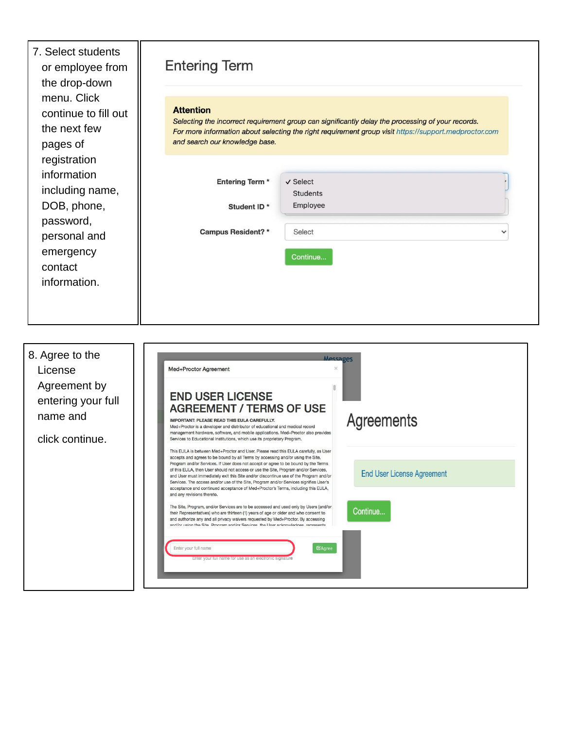7. Select students or employee from the drop-down menu. Click continue to fill out the next few pages of registration information including name, DOB, phone, password, personal and emergency contact information.

## **Entering Term**

#### **Attention**

Selecting the incorrect requirement group can significantly delay the processing of your records. For more information about selecting the right requirement group visit https://support.medproctor.com and search our knowledge base.

| Entering Term <sup>*</sup> | √ Select        |              |
|----------------------------|-----------------|--------------|
|                            | <b>Students</b> |              |
| Student ID*                | Employee        |              |
| Campus Resident?*          | Select          | $\checkmark$ |
|                            | Continue        |              |
|                            |                 |              |
|                            |                 |              |
|                            |                 |              |
|                            |                 |              |

| 8. Agree to the<br>License<br>Agreement by<br>entering your full | <b>Messages</b><br><b>Med+Proctor Agreement</b><br><b>END USER LICENSE</b><br><b>AGREEMENT / TERMS OF USE</b>                                                                                                                                                                                                                                                                                                                                                                                                                                                                                                                                                                                                                                                                                                                                                                                                                                                                                                                                                                                                                                                         |  |
|------------------------------------------------------------------|-----------------------------------------------------------------------------------------------------------------------------------------------------------------------------------------------------------------------------------------------------------------------------------------------------------------------------------------------------------------------------------------------------------------------------------------------------------------------------------------------------------------------------------------------------------------------------------------------------------------------------------------------------------------------------------------------------------------------------------------------------------------------------------------------------------------------------------------------------------------------------------------------------------------------------------------------------------------------------------------------------------------------------------------------------------------------------------------------------------------------------------------------------------------------|--|
| name and<br>click continue.                                      | Agreements<br><b>IMPORTANT: PLEASE READ THIS EULA CAREFULLY.</b><br>Med+Proctor is a developer and distributor of educational and medical record<br>management hardware, software, and mobile applications. Med+Proctor also provides<br>Services to Educational Institutions, which use its proprietary Program.                                                                                                                                                                                                                                                                                                                                                                                                                                                                                                                                                                                                                                                                                                                                                                                                                                                     |  |
|                                                                  | This EULA is between Med+Proctor and User. Please read this EULA carefully, as User<br>accepts and agrees to be bound by all Terms by accessing and/or using the Site,<br>Program and/or Services. If User does not accept or agree to be bound by the Terms<br>of this EULA, then User should not access or use the Site, Program and/or Services,<br><b>End User License Agreement</b><br>and User must immediately exit this Site and/or discontinue use of the Program and/or<br>Services. The access and/or use of the Site, Program and/or Services signifies User's<br>acceptance and continued acceptance of Med+Proctor's Terms, including this EULA,<br>and any revisions thereto.<br>The Site, Program, and/or Services are to be accessed and used only by Users (and/or<br>Continue<br>their Representatives) who are thirteen (1) years of age or older and who consent to<br>and authorize any and all privacy waivers requested by Med+Proctor. By accessing<br>and/or using the Site Program and/or Services, the Heer acknowledges, represents<br>Enter your full name<br><b>E</b> Agree<br>Enter your full name for use as an electronic signature |  |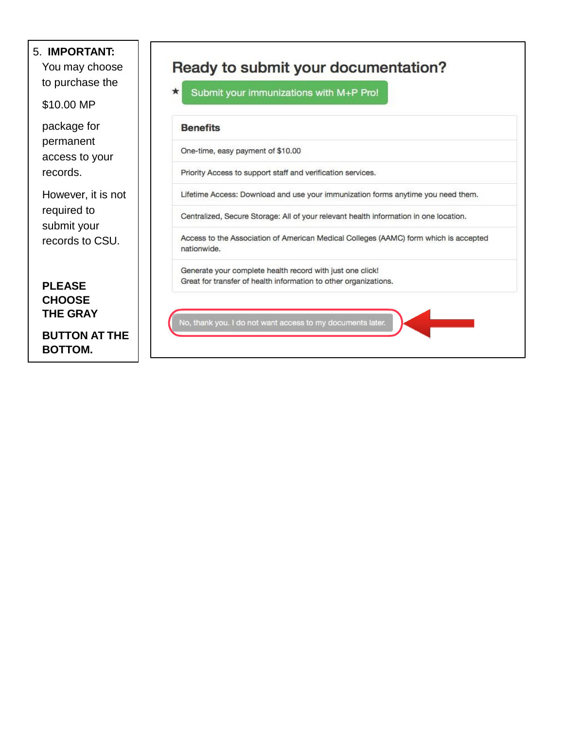### 5. **IMPORTANT:**

You may choose to purchase the

\$10.00 MP

package for permanent access to your records.

However, it is not required to submit your records to CSU.

**PLEASE CHOOSE THE GRAY**

**BUTTON AT THE BOTTOM.**

# Ready to submit your documentation?

Submit your immunizations with M+P Pro!

#### **Benefits**

★

One-time, easy payment of \$10.00

Priority Access to support staff and verification services.

Lifetime Access: Download and use your immunization forms anytime you need them.

Centralized, Secure Storage: All of your relevant health information in one location.

Access to the Association of American Medical Colleges (AAMC) form which is accepted nationwide.

Generate your complete health record with just one click! Great for transfer of health information to other organizations.

No, thank you. I do not want access to my documents later.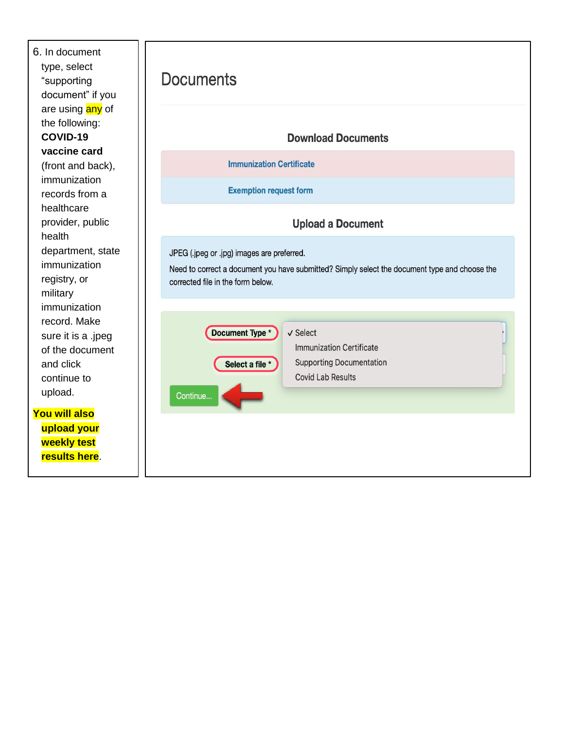